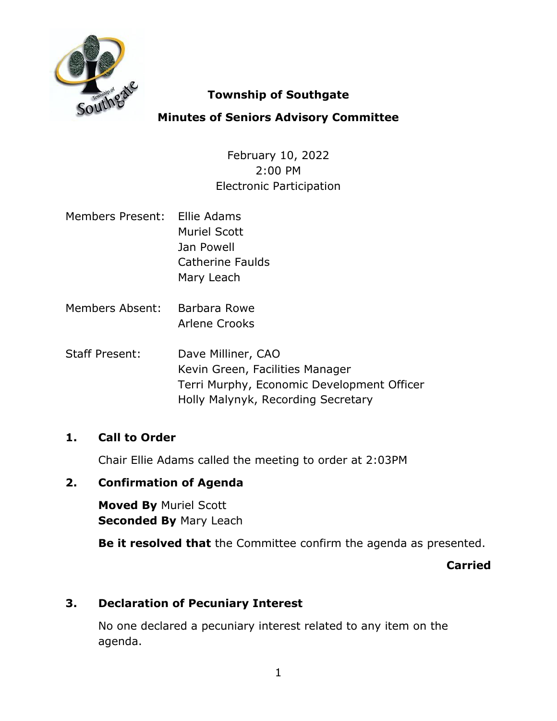

# **Township of Southgate**

# **Minutes of Seniors Advisory Committee**

February 10, 2022 2:00 PM Electronic Participation

- Members Present: Ellie Adams Muriel Scott Jan Powell Catherine Faulds Mary Leach
- Members Absent: Barbara Rowe Arlene Crooks
- Staff Present: Dave Milliner, CAO Kevin Green, Facilities Manager Terri Murphy, Economic Development Officer Holly Malynyk, Recording Secretary

# **1. Call to Order**

Chair Ellie Adams called the meeting to order at 2:03PM

# **2. Confirmation of Agenda**

**Moved By** Muriel Scott **Seconded By** Mary Leach

**Be it resolved that** the Committee confirm the agenda as presented.

**Carried**

# **3. Declaration of Pecuniary Interest**

No one declared a pecuniary interest related to any item on the agenda.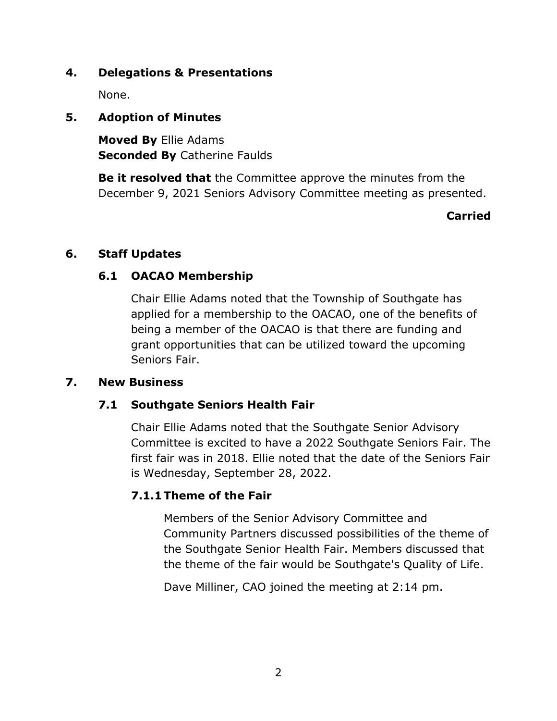### **4. Delegations & Presentations**

None.

### **5. Adoption of Minutes**

**Moved By** Ellie Adams **Seconded By** Catherine Faulds

**Be it resolved that** the Committee approve the minutes from the December 9, 2021 Seniors Advisory Committee meeting as presented.

#### **Carried**

### **6. Staff Updates**

### **6.1 OACAO Membership**

Chair Ellie Adams noted that the Township of Southgate has applied for a membership to the OACAO, one of the benefits of being a member of the OACAO is that there are funding and grant opportunities that can be utilized toward the upcoming Seniors Fair.

#### **7. New Business**

# **7.1 Southgate Seniors Health Fair**

Chair Ellie Adams noted that the Southgate Senior Advisory Committee is excited to have a 2022 Southgate Seniors Fair. The first fair was in 2018. Ellie noted that the date of the Seniors Fair is Wednesday, September 28, 2022.

# **7.1.1 Theme of the Fair**

Members of the Senior Advisory Committee and Community Partners discussed possibilities of the theme of the Southgate Senior Health Fair. Members discussed that the theme of the fair would be Southgate's Quality of Life.

Dave Milliner, CAO joined the meeting at 2:14 pm.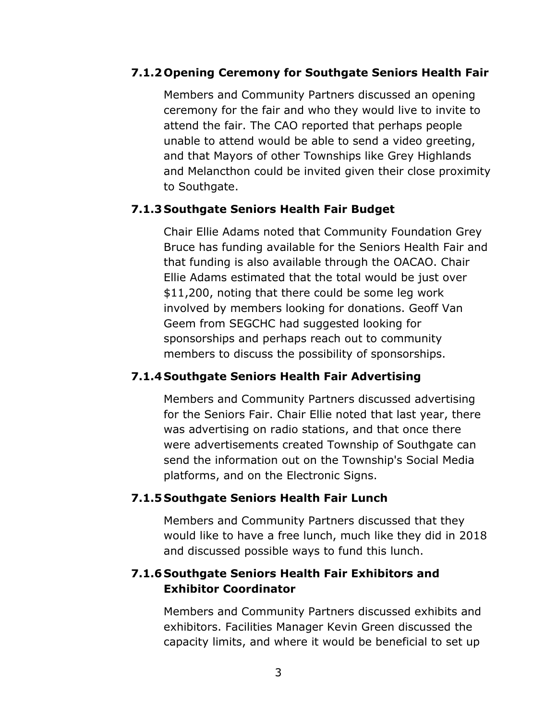#### **7.1.2 Opening Ceremony for Southgate Seniors Health Fair**

Members and Community Partners discussed an opening ceremony for the fair and who they would live to invite to attend the fair. The CAO reported that perhaps people unable to attend would be able to send a video greeting, and that Mayors of other Townships like Grey Highlands and Melancthon could be invited given their close proximity to Southgate.

### **7.1.3 Southgate Seniors Health Fair Budget**

Chair Ellie Adams noted that Community Foundation Grey Bruce has funding available for the Seniors Health Fair and that funding is also available through the OACAO. Chair Ellie Adams estimated that the total would be just over \$11,200, noting that there could be some leg work involved by members looking for donations. Geoff Van Geem from SEGCHC had suggested looking for sponsorships and perhaps reach out to community members to discuss the possibility of sponsorships.

# **7.1.4 Southgate Seniors Health Fair Advertising**

Members and Community Partners discussed advertising for the Seniors Fair. Chair Ellie noted that last year, there was advertising on radio stations, and that once there were advertisements created Township of Southgate can send the information out on the Township's Social Media platforms, and on the Electronic Signs.

# **7.1.5 Southgate Seniors Health Fair Lunch**

Members and Community Partners discussed that they would like to have a free lunch, much like they did in 2018 and discussed possible ways to fund this lunch.

# **7.1.6 Southgate Seniors Health Fair Exhibitors and Exhibitor Coordinator**

Members and Community Partners discussed exhibits and exhibitors. Facilities Manager Kevin Green discussed the capacity limits, and where it would be beneficial to set up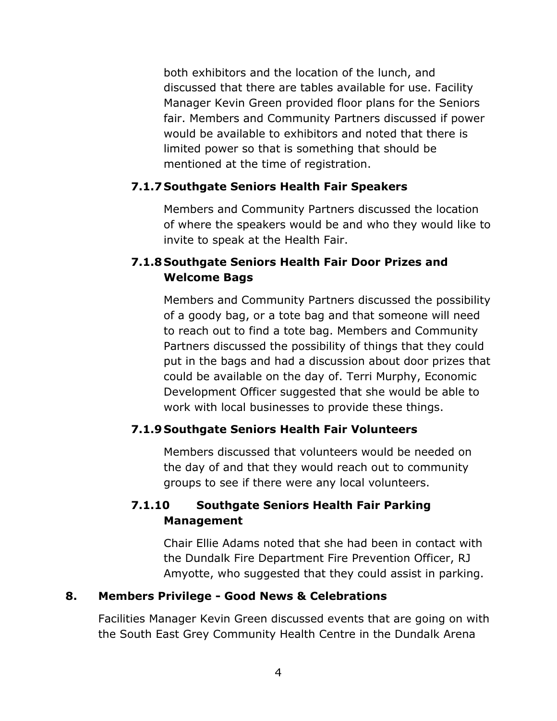both exhibitors and the location of the lunch, and discussed that there are tables available for use. Facility Manager Kevin Green provided floor plans for the Seniors fair. Members and Community Partners discussed if power would be available to exhibitors and noted that there is limited power so that is something that should be mentioned at the time of registration.

# **7.1.7 Southgate Seniors Health Fair Speakers**

Members and Community Partners discussed the location of where the speakers would be and who they would like to invite to speak at the Health Fair.

# **7.1.8 Southgate Seniors Health Fair Door Prizes and Welcome Bags**

Members and Community Partners discussed the possibility of a goody bag, or a tote bag and that someone will need to reach out to find a tote bag. Members and Community Partners discussed the possibility of things that they could put in the bags and had a discussion about door prizes that could be available on the day of. Terri Murphy, Economic Development Officer suggested that she would be able to work with local businesses to provide these things.

# **7.1.9 Southgate Seniors Health Fair Volunteers**

Members discussed that volunteers would be needed on the day of and that they would reach out to community groups to see if there were any local volunteers.

# **7.1.10 Southgate Seniors Health Fair Parking Management**

Chair Ellie Adams noted that she had been in contact with the Dundalk Fire Department Fire Prevention Officer, RJ Amyotte, who suggested that they could assist in parking.

# **8. Members Privilege - Good News & Celebrations**

Facilities Manager Kevin Green discussed events that are going on with the South East Grey Community Health Centre in the Dundalk Arena